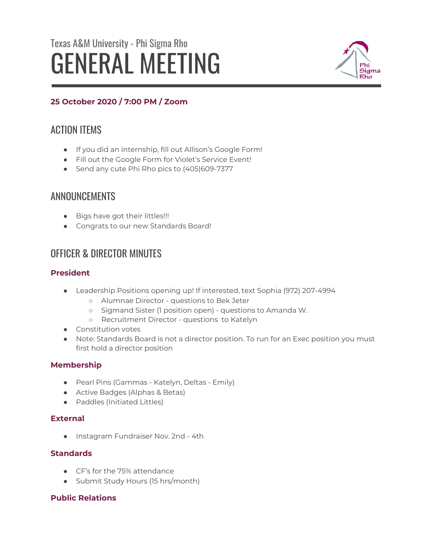# Texas A&M University - Phi Sigma Rho GENERAL MEETING



# **25 October 2020 / 7:00 PM / Zoom**

# ACTION ITEMS

- If you did an internship, fill out Allison's Google Form!
- Fill out the Google Form for Violet's Service Event!
- Send any cute Phi Rho pics to (405)609-7377

# ANNOUNCEMENTS

- Bigs have got their littles!!!
- Congrats to our new Standards Board!

# OFFICER & DIRECTOR MINUTES

## **President**

- Leadership Positions opening up! If interested, text Sophia (972) 207-4994
	- Alumnae Director questions to Bek Jeter
	- Sigmand Sister (1 position open) questions to Amanda W.
	- Recruitment Director questions to Katelyn
- Constitution votes
- Note: Standards Board is not a director position. To run for an Exec position you must first hold a director position

## **Membership**

- Pearl Pins (Gammas Katelyn, Deltas Emily)
- Active Badges (Alphas & Betas)
- Paddles (Initiated Littles)

## **External**

● Instagram Fundraiser Nov. 2nd - 4th

## **Standards**

- CF's for the 75% attendance
- Submit Study Hours (15 hrs/month)

## **Public Relations**